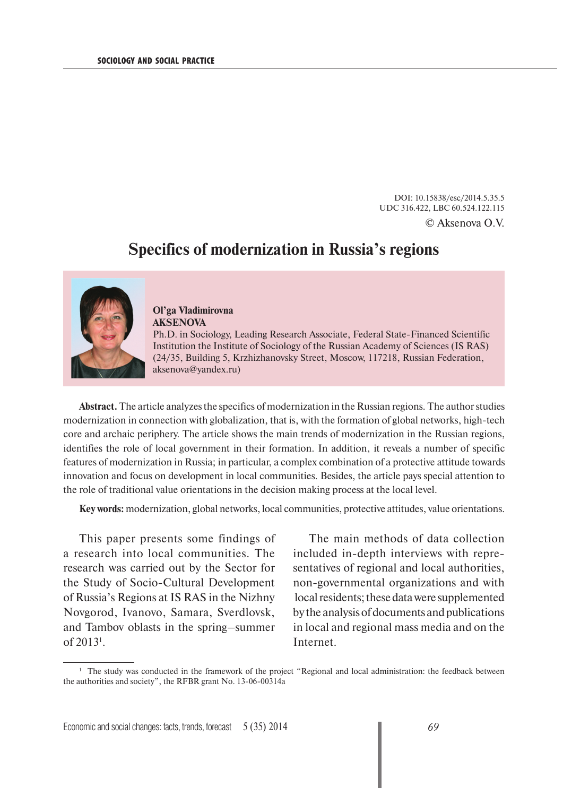DOI: 10.15838/esc/2014.5.35.5 UDC 316.422, LBC 60.524.122.115 © Aksenova O.V.

## **Specifics of modernization in Russia's regions**



## **Ol'ga Vladimirovna AKSENOVA**

Ph.D. in Sociology, Leading Research Associate, Federal State-Financed Scientific Institution the Institute of Sociology of the Russian Academy of Sciences (IS RAS) (24/35, Building 5, Krzhizhanovsky Street, Moscow, 117218, Russian Federation, aksenova@yandex.ru)

**Abstract.** The article analyzes the specifics of modernization in the Russian regions. The author studies modernization in connection with globalization, that is, with the formation of global networks, high-tech core and archaic periphery. The article shows the main trends of modernization in the Russian regions, identifies the role of local government in their formation. In addition, it reveals a number of specific features of modernization in Russia; in particular, a complex combination of a protective attitude towards innovation and focus on development in local communities. Besides, the article pays special attention to the role of traditional value orientations in the decision making process at the local level.

**Key words:** modernization, global networks, local communities, protective attitudes, value orientations.

This paper presents some findings of a research into local communities. The research was carried out by the Sector for the Study of Socio-Cultural Development of Russia's Regions at IS RAS in the Nizhny Novgorod, Ivanovo, Samara, Sverdlovsk, and Tambov oblasts in the spring–summer of 20131 .

The main methods of data collection included in-depth interviews with representatives of regional and local authorities, non-governmental organizations and with local residents; these data were supplemented by the analysis of documents and publications in local and regional mass media and on the Internet.

<sup>&</sup>lt;sup>1</sup> The study was conducted in the framework of the project "Regional and local administration: the feedback between the authorities and society", the RFBR grant No. 13-06-00314а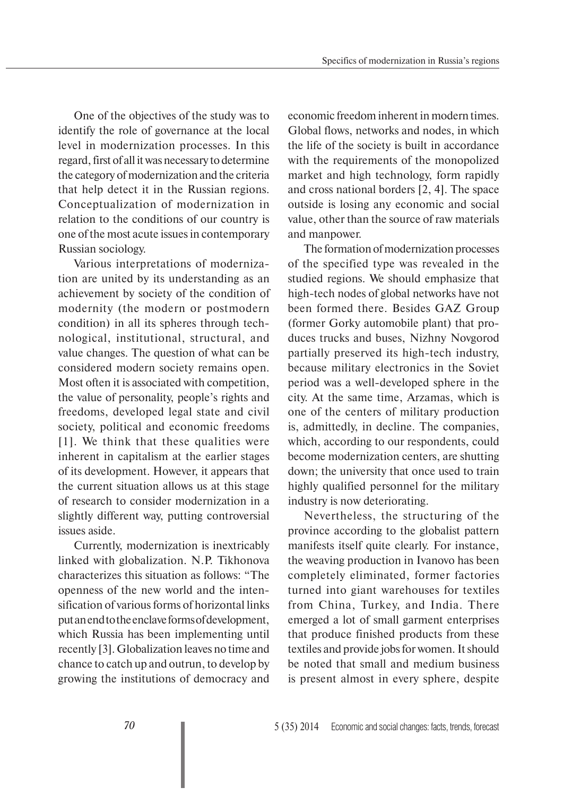One of the objectives of the study was to identify the role of governance at the local level in modernization processes. In this regard, first of all it was necessary to determine the category of modernization and the criteria that help detect it in the Russian regions. Conceptualization of modernization in relation to the conditions of our country is one of the most acute issues in contemporary Russian sociology.

Various interpretations of modernization are united by its understanding as an achievement by society of the condition of modernity (the modern or postmodern condition) in all its spheres through technological, institutional, structural, and value changes. The question of what can be considered modern society remains open. Most often it is associated with competition, the value of personality, people's rights and freedoms, developed legal state and civil society, political and economic freedoms [1]. We think that these qualities were inherent in capitalism at the earlier stages of its development. However, it appears that the current situation allows us at this stage of research to consider modernization in a slightly different way, putting controversial issues aside.

Currently, modernization is inextricably linked with globalization. N.P. Tikhonova characterizes this situation as follows: "The openness of the new world and the intensification of various forms of horizontal links put an end to the enclave forms of development, which Russia has been implementing until recently [3]. Globalization leaves no time and chance to catch up and outrun, to develop by growing the institutions of democracy and economic freedom inherent in modern times. Global flows, networks and nodes, in which the life of the society is built in accordance with the requirements of the monopolized market and high technology, form rapidly and cross national borders [2, 4]. The space outside is losing any economic and social value, other than the source of raw materials and manpower.

The formation of modernization processes of the specified type was revealed in the studied regions. We should emphasize that high-tech nodes of global networks have not been formed there. Besides GAZ Group (former Gorky automobile plant) that produces trucks and buses, Nizhny Novgorod partially preserved its high-tech industry, because military electronics in the Soviet period was a well-developed sphere in the city. At the same time, Arzamas, which is one of the centers of military production is, admittedly, in decline. The companies, which, according to our respondents, could become modernization centers, are shutting down; the university that once used to train highly qualified personnel for the military industry is now deteriorating.

Nevertheless, the structuring of the province according to the globalist pattern manifests itself quite clearly. For instance, the weaving production in Ivanovo has been completely eliminated, former factories turned into giant warehouses for textiles from China, Turkey, and India. There emerged a lot of small garment enterprises that produce finished products from these textiles and provide jobs for women. It should be noted that small and medium business is present almost in every sphere, despite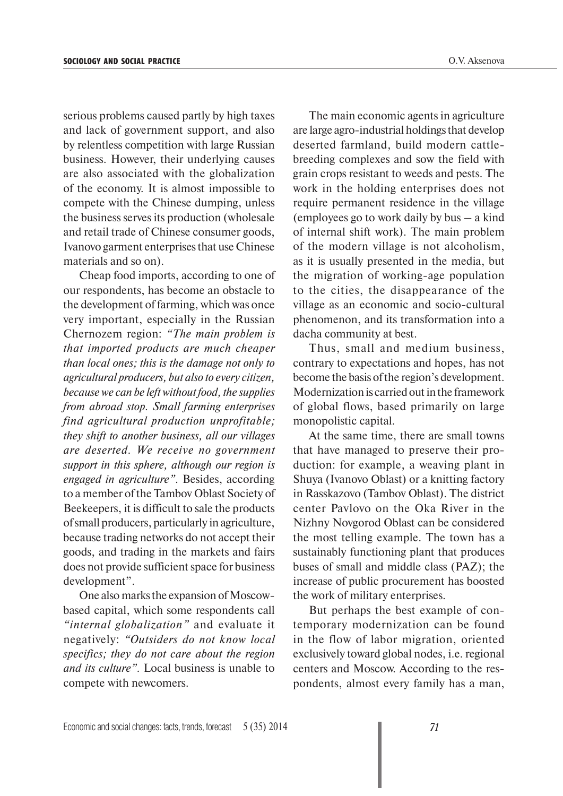serious problems caused partly by high taxes and lack of government support, and also by relentless competition with large Russian business. However, their underlying causes are also associated with the globalization of the economy. It is almost impossible to compete with the Chinese dumping, unless the business serves its production (wholesale and retail trade of Chinese consumer goods, Ivanovo garment enterprises that use Chinese materials and so on).

Cheap food imports, according to one of our respondents, has become an obstacle to the development of farming, which was once very important, especially in the Russian Chernozem region: *"The main problem is that imported products are much cheaper than local ones; this is the damage not only to agricultural producers, but also to every citizen, because we can be left without food, the supplies from abroad stop. Small farming enterprises find agricultural production unprofitable; they shift to another business, all our villages are deserted. We receive no government support in this sphere, although our region is engaged in agriculture"*. Besides, according to a member of the Tambov Oblast Society of Beekeepers, it is difficult to sale the products of small producers, particularly in agriculture, because trading networks do not accept their goods, and trading in the markets and fairs does not provide sufficient space for business development".

One also marks the expansion of Moscowbased capital, which some respondents call *"internal globalization"* and evaluate it negatively: *"Outsiders do not know local specifics; they do not care about the region and its culture"*. Local business is unable to compete with newcomers.

The main economic agents in agriculture are large agro-industrial holdings that develop deserted farmland, build modern cattlebreeding complexes and sow the field with grain crops resistant to weeds and pests. The work in the holding enterprises does not require permanent residence in the village (employees go to work daily by bus – a kind of internal shift work). The main problem of the modern village is not alcoholism, as it is usually presented in the media, but the migration of working-age population to the cities, the disappearance of the village as an economic and socio-cultural phenomenon, and its transformation into a dacha community at best.

Thus, small and medium business, contrary to expectations and hopes, has not become the basis of the region's development. Modernization is carried out in the framework of global flows, based primarily on large monopolistic capital.

At the same time, there are small towns that have managed to preserve their production: for example, a weaving plant in Shuya (Ivanovo Oblast) or a knitting factory in Rasskazovo (Tambov Oblast). The district center Pavlovo on the Oka River in the Nizhny Novgorod Oblast can be considered the most telling example. The town has a sustainably functioning plant that produces buses of small and middle class (PAZ); the increase of public procurement has boosted the work of military enterprises.

But perhaps the best example of contemporary modernization can be found in the flow of labor migration, oriented exclusively toward global nodes, i.e. regional centers and Moscow. According to the respondents, almost every family has a man,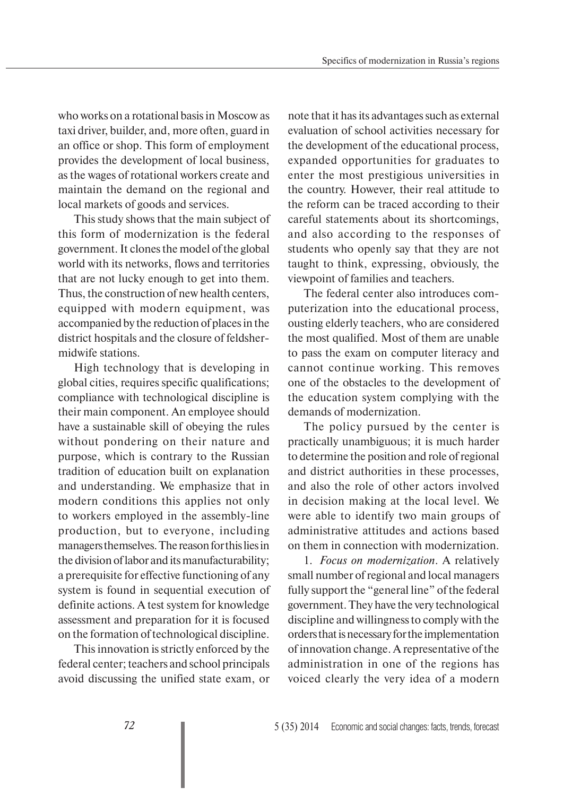who works on a rotational basis in Moscow as taxi driver, builder, and, more often, guard in an office or shop. This form of employment provides the development of local business, as the wages of rotational workers create and maintain the demand on the regional and local markets of goods and services.

This study shows that the main subject of this form of modernization is the federal government. It clones the model of the global world with its networks, flows and territories that are not lucky enough to get into them. Thus, the construction of new health centers, equipped with modern equipment, was accompanied by the reduction of places in the district hospitals and the closure of feldshermidwife stations.

High technology that is developing in global cities, requires specific qualifications; compliance with technological discipline is their main component. An employee should have a sustainable skill of obeying the rules without pondering on their nature and purpose, which is contrary to the Russian tradition of education built on explanation and understanding. We emphasize that in modern conditions this applies not only to workers employed in the assembly-line production, but to everyone, including managers themselves. The reason for this lies in the division of labor and its manufacturability; a prerequisite for effective functioning of any system is found in sequential execution of definite actions. A test system for knowledge assessment and preparation for it is focused on the formation of technological discipline.

This innovation is strictly enforced by the federal center; teachers and school principals avoid discussing the unified state exam, or note that it has its advantages such as external evaluation of school activities necessary for the development of the educational process, expanded opportunities for graduates to enter the most prestigious universities in the country. However, their real attitude to the reform can be traced according to their careful statements about its shortcomings, and also according to the responses of students who openly say that they are not taught to think, expressing, obviously, the viewpoint of families and teachers.

The federal center also introduces computerization into the educational process, ousting elderly teachers, who are considered the most qualified. Most of them are unable to pass the exam on computer literacy and cannot continue working. This removes one of the obstacles to the development of the education system complying with the demands of modernization.

The policy pursued by the center is practically unambiguous; it is much harder to determine the position and role of regional and district authorities in these processes, and also the role of other actors involved in decision making at the local level. We were able to identify two main groups of administrative attitudes and actions based on them in connection with modernization.

1. *Focus on modernization*. A relatively small number of regional and local managers fully support the "general line" of the federal government. They have the very technological discipline and willingness to comply with the orders that is necessary for the implementation of innovation change. A representative of the administration in one of the regions has voiced clearly the very idea of a modern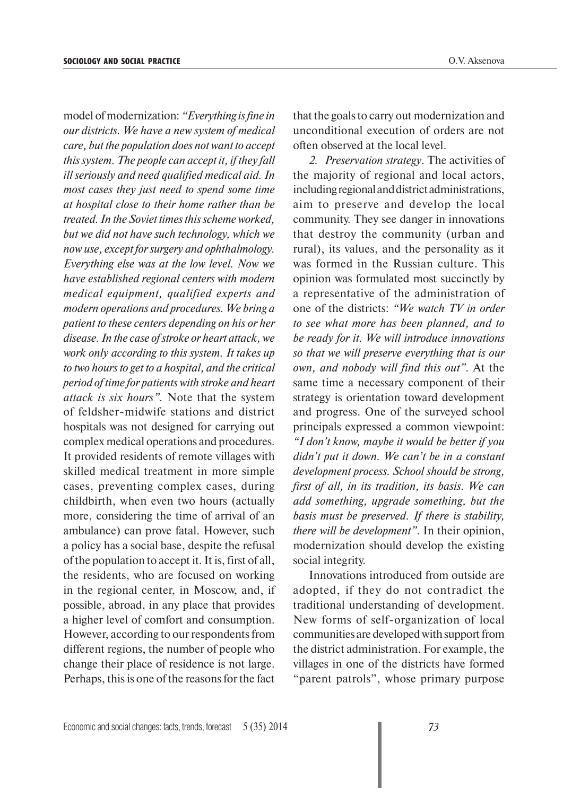model of modernization: *"Everything is fine in our districts. We have a new system of medical care, but the population does not want to accept this system. The people can accept it, if they fall ill seriously and need qualified medical aid. In most cases they just need to spend some time at hospital close to their home rather than be treated. In the Soviet times this scheme worked, but we did not have such technology, which we now use, except for surgery and ophthalmology. Everything else was at the low level. Now we have established regional centers with modern medical equipment, qualified experts and modern operations and procedures. We bring a patient to these centers depending on his or her disease. In the case of stroke or heart attack, we work only according to this system. It takes up to two hours to get to a hospital, and the critical period of time for patients with stroke and heart attack is six hours".* Note that the system of feldsher-midwife stations and district hospitals was not designed for carrying out complex medical operations and procedures. It provided residents of remote villages with skilled medical treatment in more simple cases, preventing complex cases, during childbirth, when even two hours (actually more, considering the time of arrival of an ambulance) can prove fatal. However, such a policy has a social base, despite the refusal of the population to accept it. It is, first of all, the residents, who are focused on working in the regional center, in Moscow, and, if possible, abroad, in any place that provides a higher level of comfort and consumption. However, according to our respondents from different regions, the number of people who change their place of residence is not large. Perhaps, this is one of the reasons for the fact

that the goals to carry out modernization and unconditional execution of orders are not often observed at the local level.

*2. Preservation strategy*. The activities of the majority of regional and local actors, including regional and district administrations, aim to preserve and develop the local community. They see danger in innovations that destroy the community (urban and rural), its values, and the personality as it was formed in the Russian culture. This opinion was formulated most succinctly by a representative of the administration of one of the districts: *"We watch TV in order to see what more has been planned, and to be ready for it. We will introduce innovations so that we will preserve everything that is our own, and nobody will find this out".* At the same time a necessary component of their strategy is orientation toward development and progress. One of the surveyed school principals expressed a common viewpoint: *"I don't know, maybe it would be better if you didn't put it down. We can't be in a constant development process. School should be strong, first of all, in its tradition, its basis. We can add something, upgrade something, but the basis must be preserved. If there is stability, there will be development"*. In their opinion, modernization should develop the existing social integrity.

Innovations introduced from outside are adopted, if they do not contradict the traditional understanding of development. New forms of self-organization of local communities are developed with support from the district administration. For example, the villages in one of the districts have formed "parent patrols", whose primary purpose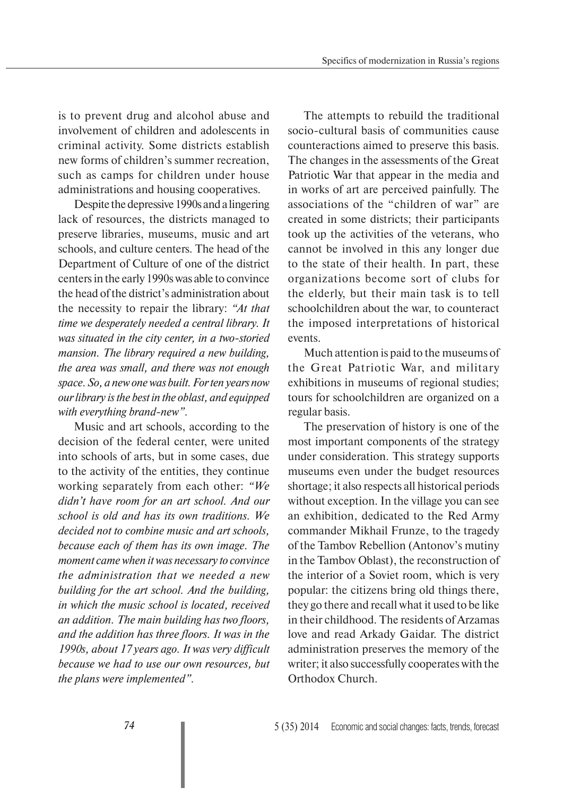is to prevent drug and alcohol abuse and involvement of children and adolescents in criminal activity. Some districts establish new forms of children's summer recreation, such as camps for children under house administrations and housing cooperatives.

Despite the depressive 1990s and a lingering lack of resources, the districts managed to preserve libraries, museums, music and art schools, and culture centers. The head of the Department of Culture of one of the district centers in the early 1990s was able to convince the head of the district's administration about the necessity to repair the library: *"At that time we desperately needed a central library. It was situated in the city center, in a two-storied mansion. The library required a new building, the area was small, and there was not enough space. So, a new one was built. For ten years now our library is the best in the oblast, and equipped with everything brand-new"*.

Music and art schools, according to the decision of the federal center, were united into schools of arts, but in some cases, due to the activity of the entities, they continue working separately from each other: *"We didn't have room for an art school. And our school is old and has its own traditions. We decided not to combine music and art schools, because each of them has its own image. The moment came when it was necessary to convince the administration that we needed a new building for the art school. And the building, in which the music school is located, received an addition. The main building has two floors, and the addition has three floors. It was in the 1990s, about 17 years ago. It was very difficult because we had to use our own resources, but the plans were implemented".*

The attempts to rebuild the traditional socio-cultural basis of communities cause counteractions aimed to preserve this basis. The changes in the assessments of the Great Patriotic War that appear in the media and in works of art are perceived painfully. The associations of the "children of war" are created in some districts; their participants took up the activities of the veterans, who cannot be involved in this any longer due to the state of their health. In part, these organizations become sort of clubs for the elderly, but their main task is to tell schoolchildren about the war, to counteract the imposed interpretations of historical events.

Much attention is paid to the museums of the Great Patriotic War, and military exhibitions in museums of regional studies; tours for schoolchildren are organized on a regular basis.

The preservation of history is one of the most important components of the strategy under consideration. This strategy supports museums even under the budget resources shortage; it also respects all historical periods without exception. In the village you can see an exhibition, dedicated to the Red Army commander Mikhail Frunze, to the tragedy of the Tambov Rebellion (Antonov's mutiny in the Tambov Oblast), the reconstruction of the interior of a Soviet room, which is very popular: the citizens bring old things there, they go there and recall what it used to be like in their childhood. The residents of Arzamas love and read Arkady Gaidar. The district administration preserves the memory of the writer; it also successfully cooperates with the Orthodox Church.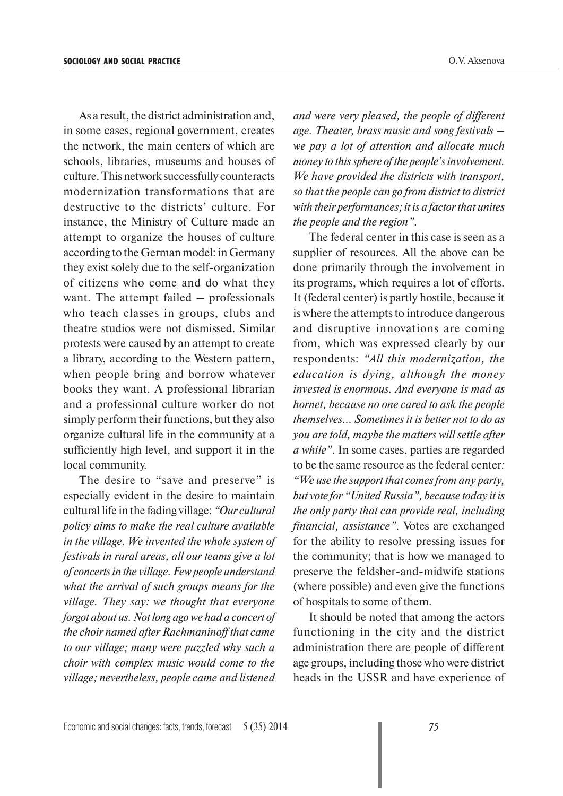As a result, the district administration and, in some cases, regional government, creates the network, the main centers of which are schools, libraries, museums and houses of culture. This network successfully counteracts modernization transformations that are destructive to the districts' culture. For instance, the Ministry of Culture made an attempt to organize the houses of culture according to the German model: in Germany they exist solely due to the self-organization of citizens who come and do what they want. The attempt failed – professionals who teach classes in groups, clubs and theatre studios were not dismissed. Similar protests were caused by an attempt to create a library, according to the Western pattern, when people bring and borrow whatever books they want. A professional librarian and a professional culture worker do not simply perform their functions, but they also organize cultural life in the community at a sufficiently high level, and support it in the local community.

The desire to "save and preserve" is especially evident in the desire to maintain cultural life in the fading village: *"Our cultural policy aims to make the real culture available in the village. We invented the whole system of festivals in rural areas, all our teams give a lot of concerts in the village. Few people understand what the arrival of such groups means for the village. They say: we thought that everyone forgot about us. Not long ago we had a concert of the choir named after Rachmaninoff that came to our village; many were puzzled why such a choir with complex music would come to the village; nevertheless, people came and listened* 

*and were very pleased, the people of different age. Theater, brass music and song festivals – we pay a lot of attention and allocate much money to this sphere of the people's involvement. We have provided the districts with transport, so that the people can go from district to district with their performances; it is a factor that unites the people and the region"*.

The federal center in this case is seen as a supplier of resources. All the above can be done primarily through the involvement in its programs, which requires a lot of efforts. It (federal center) is partly hostile, because it is where the attempts to introduce dangerous and disruptive innovations are coming from, which was expressed clearly by our respondents: *"All this modernization, the education is dying, although the money invested is enormous. And everyone is mad as hornet, because no one cared to ask the people themselves... Sometimes it is better not to do as you are told, maybe the matters will settle after a while"*. In some cases, parties are regarded to be the same resource as the federal center*: "We use the support that comes from any party, but vote for "United Russia", because today it is the only party that can provide real, including financial, assistance"*. Votes are exchanged for the ability to resolve pressing issues for the community; that is how we managed to preserve the feldsher-and-midwife stations (where possible) and even give the functions of hospitals to some of them.

It should be noted that among the actors functioning in the city and the district administration there are people of different age groups, including those who were district heads in the USSR and have experience of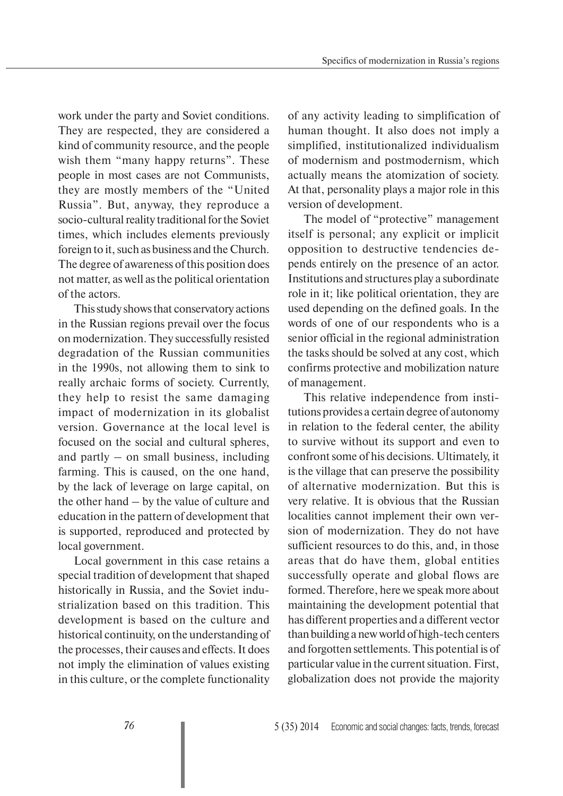work under the party and Soviet conditions. They are respected, they are considered a kind of community resource, and the people wish them "many happy returns". These people in most cases are not Communists, they are mostly members of the "United Russia". But, anyway, they reproduce a socio-cultural reality traditional for the Soviet times, which includes elements previously foreign to it, such as business and the Church. The degree of awareness of this position does not matter, as well as the political orientation of the actors.

This study shows that conservatory actions in the Russian regions prevail over the focus on modernization. They successfully resisted degradation of the Russian communities in the 1990s, not allowing them to sink to really archaic forms of society. Currently, they help to resist the same damaging impact of modernization in its globalist version. Governance at the local level is focused on the social and cultural spheres, and partly – on small business, including farming. This is caused, on the one hand, by the lack of leverage on large capital, on the other hand – by the value of culture and education in the pattern of development that is supported, reproduced and protected by local government.

Local government in this case retains a special tradition of development that shaped historically in Russia, and the Soviet industrialization based on this tradition. This development is based on the culture and historical continuity, on the understanding of the processes, their causes and effects. It does not imply the elimination of values existing in this culture, or the complete functionality

of any activity leading to simplification of human thought. It also does not imply a simplified, institutionalized individualism of modernism and postmodernism, which actually means the atomization of society. At that, personality plays a major role in this version of development.

The model of "protective" management itself is personal; any explicit or implicit opposition to destructive tendencies depends entirely on the presence of an actor. Institutions and structures play a subordinate role in it; like political orientation, they are used depending on the defined goals. In the words of one of our respondents who is a senior official in the regional administration the tasks should be solved at any cost, which confirms protective and mobilization nature of management.

This relative independence from institutions provides a certain degree of autonomy in relation to the federal center, the ability to survive without its support and even to confront some of his decisions. Ultimately, it is the village that can preserve the possibility of alternative modernization. But this is very relative. It is obvious that the Russian localities cannot implement their own version of modernization. They do not have sufficient resources to do this, and, in those areas that do have them, global entities successfully operate and global flows are formed. Therefore, here we speak more about maintaining the development potential that has different properties and a different vector than building a new world of high-tech centers and forgotten settlements. This potential is of particular value in the current situation. First, globalization does not provide the majority